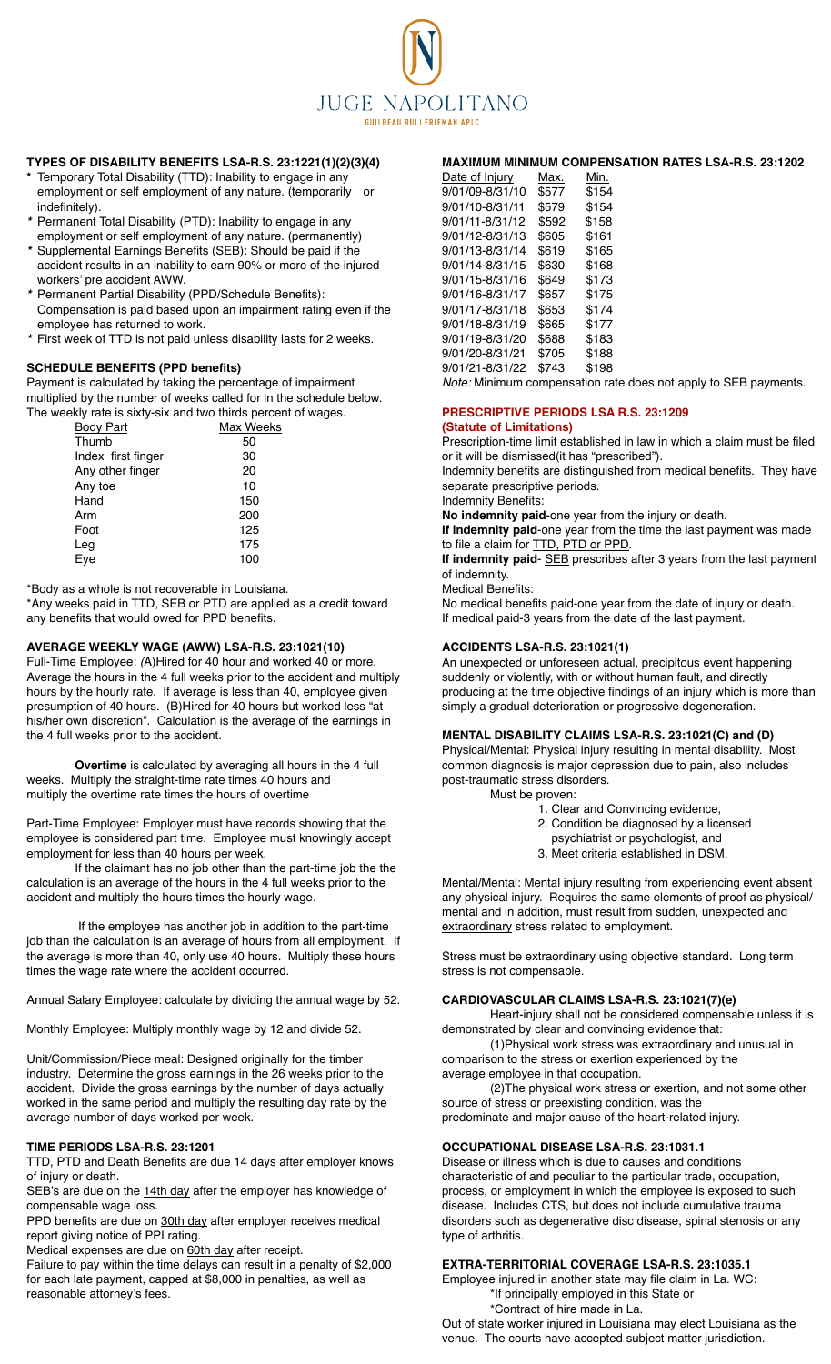

# **TYPES OF DISABILITY BENEFITS LSA-R.S. 23:1221(1)(2)(3)(4)**

- **\*** Temporary Total Disability (TTD): Inability to engage in any employment or self employment of any nature. (temporarily or indefinitely).
- **\*** Permanent Total Disability (PTD): Inability to engage in any employment or self employment of any nature. (permanently)
- **\*** Supplemental Earnings Benefits (SEB): Should be paid if the accident results in an inability to earn 90% or more of the injured workers' pre accident AWW.
- **\*** Permanent Partial Disability (PPD/Schedule Benefits): Compensation is paid based upon an impairment rating even if the employee has returned to work.
- **\*** First week of TTD is not paid unless disability lasts for 2 weeks.

# **SCHEDULE BENEFITS (PPD benefits)**

Payment is calculated by taking the percentage of impairment multiplied by the number of weeks called for in the schedule below. The weekly rate is sixty-six and two thirds percent of wages.

| Max Weeks |
|-----------|
| 50        |
| 30        |
| 20        |
| 10        |
| 150       |
| 200       |
| 125       |
| 175       |
| 100       |
|           |

\*Body as a whole is not recoverable in Louisiana.

\*Any weeks paid in TTD, SEB or PTD are applied as a credit toward any benefits that would owed for PPD benefits.

# **AVERAGE WEEKLY WAGE (AWW) LSA-R.S. 23:1021(10)**

Full-Time Employee: (A)Hired for 40 hour and worked 40 or more. Average the hours in the 4 full weeks prior to the accident and multiply hours by the hourly rate. If average is less than 40, employee given presumption of 40 hours. (B)Hired for 40 hours but worked less "at his/her own discretion". Calculation is the average of the earnings in the 4 full weeks prior to the accident.

**Overtime** is calculated by averaging all hours in the 4 full weeks. Multiply the straight-time rate times 40 hours and multiply the overtime rate times the hours of overtime

Part-Time Employee: Employer must have records showing that the employee is considered part time. Employee must knowingly accept employment for less than 40 hours per week.

If the claimant has no job other than the part-time job the the calculation is an average of the hours in the 4 full weeks prior to the accident and multiply the hours times the hourly wage.

 If the employee has another job in addition to the part-time job than the calculation is an average of hours from all employment. If the average is more than 40, only use 40 hours. Multiply these hours times the wage rate where the accident occurred.

Annual Salary Employee: calculate by dividing the annual wage by 52.

Monthly Employee: Multiply monthly wage by 12 and divide 52.

Unit/Commission/Piece meal: Designed originally for the timber industry. Determine the gross earnings in the 26 weeks prior to the accident. Divide the gross earnings by the number of days actually worked in the same period and multiply the resulting day rate by the average number of days worked per week.

# **TIME PERIODS LSA-R.S. 23:1201**

TTD, PTD and Death Benefits are due 14 days after employer knows of injury or death.

SEB's are due on the 14th day after the employer has knowledge of compensable wage loss.

PPD benefits are due on 30th day after employer receives medical report giving notice of PPI rating.

Medical expenses are due on 60th day after receipt.

Failure to pay within the time delays can result in a penalty of \$2,000 for each late payment, capped at \$8,000 in penalties, as well as reasonable attorney's fees.

# **MAXIMUM MINIMUM COMPENSATION RATES LSA-R.S. 23:1202**

| Date of Injury  | Max.  | Min.  |
|-----------------|-------|-------|
| 9/01/09-8/31/10 | \$577 | \$154 |
| 9/01/10-8/31/11 | \$579 | \$154 |
| 9/01/11-8/31/12 | \$592 | \$158 |
| 9/01/12-8/31/13 | \$605 | \$161 |
| 9/01/13-8/31/14 | \$619 | \$165 |
| 9/01/14-8/31/15 | \$630 | \$168 |
| 9/01/15-8/31/16 | \$649 | \$173 |
| 9/01/16-8/31/17 | \$657 | \$175 |
| 9/01/17-8/31/18 | \$653 | \$174 |
| 9/01/18-8/31/19 | \$665 | \$177 |
| 9/01/19-8/31/20 | \$688 | \$183 |
| 9/01/20-8/31/21 | \$705 | \$188 |
| 9/01/21-8/31/22 | \$743 | \$198 |
|                 |       |       |

Note: Minimum compensation rate does not apply to SEB payments.

#### **PRESCRIPTIVE PERIODS LSA R.S. 23:1209 (Statute of Limitations)**

Prescription-time limit established in law in which a claim must be filed or it will be dismissed(it has "prescribed").

Indemnity benefits are distinguished from medical benefits. They have separate prescriptive periods.

Indemnity Benefits:

**No indemnity paid**-one year from the injury or death.

**If indemnity paid**-one year from the time the last payment was made to file a claim for TTD, PTD or PPD.

**If indemnity paid**- SEB prescribes after 3 years from the last payment of indemnity.

Medical Benefits:

No medical benefits paid-one year from the date of injury or death. If medical paid-3 years from the date of the last payment.

## **ACCIDENTS LSA-R.S. 23:1021(1)**

An unexpected or unforeseen actual, precipitous event happening suddenly or violently, with or without human fault, and directly producing at the time objective findings of an injury which is more than simply a gradual deterioration or progressive degeneration.

# **MENTAL DISABILITY CLAIMS LSA-R.S. 23:1021(C) and (D)**

Physical/Mental: Physical injury resulting in mental disability. Most common diagnosis is major depression due to pain, also includes post-traumatic stress disorders.

Must be proven:

- 1. Clear and Convincing evidence,
- 2. Condition be diagnosed by a licensed
- psychiatrist or psychologist, and
- 3. Meet criteria established in DSM.

Mental/Mental: Mental injury resulting from experiencing event absent any physical injury. Requires the same elements of proof as physical/ mental and in addition, must result from sudden, unexpected and extraordinary stress related to employment.

Stress must be extraordinary using objective standard. Long term stress is not compensable.

# **CARDIOVASCULAR CLAIMS LSA-R.S. 23:1021(7)(e)**

Heart-injury shall not be considered compensable unless it is demonstrated by clear and convincing evidence that:

(1)Physical work stress was extraordinary and unusual in comparison to the stress or exertion experienced by the average employee in that occupation.

(2)The physical work stress or exertion, and not some other source of stress or preexisting condition, was the

predominate and major cause of the heart-related injury.

# **OCCUPATIONAL DISEASE LSA-R.S. 23:1031.1**

Disease or illness which is due to causes and conditions characteristic of and peculiar to the particular trade, occupation, process, or employment in which the employee is exposed to such disease. Includes CTS, but does not include cumulative trauma disorders such as degenerative disc disease, spinal stenosis or any type of arthritis.

#### **EXTRA-TERRITORIAL COVERAGE LSA-R.S. 23:1035.1**

Employee injured in another state may file claim in La. WC: \*If principally employed in this State or

\*Contract of hire made in La.

Out of state worker injured in Louisiana may elect Louisiana as the venue. The courts have accepted subject matter jurisdiction.